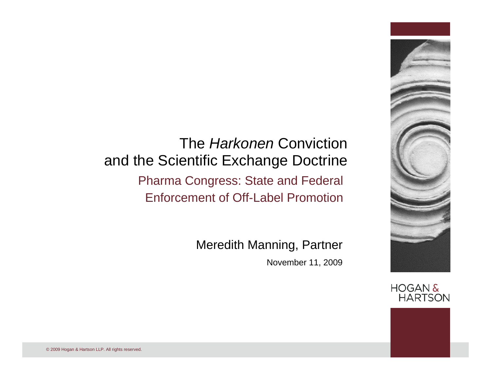#### The *Harkonen* Conviction and the Scientific Exchange Doctrine Pharma Congress: State and Federal Enforcement of Off-Label Promotion

Meredith Manning, Partner

November 11, 2009



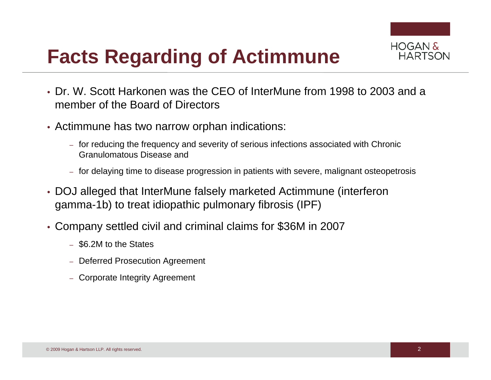# **Facts Regarding of Actimmune**

- HOGAN & HARTSON
- Dr. W. Scott Harkonen was the CEO of InterMune from 1998 to 2003 and a member of the Board of Directors
- Actimmune has two narrow orphan indications:
	- for reducing the frequency and severity of serious infections associated with Chronic Granulomatous Disease and
	- for delaying time to disease progression in patients with severe, malignant osteopetrosis
- DOJ alleged that InterMune falsely marketed Actimmune (interferon gamma-1b) to treat idiopathic pulmonary fibrosis (IPF)
- Company settled civil and criminal claims for \$36M in 2007
	- \$6.2M to the States
	- Deferred Prosecution Agreement
	- Corporate Integrity Agreement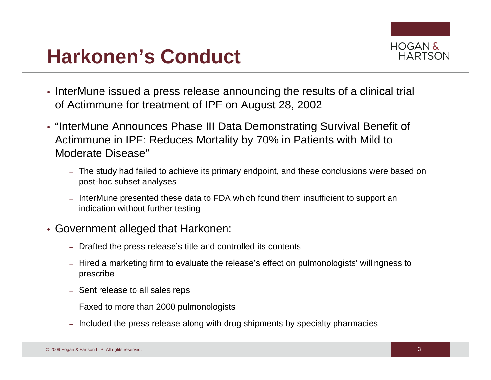# **Harkonen's Conduct**



- InterMune issued a press release announcing the results of a clinical trial of Actimmune for treatment of IPF on August 28, 2002
- "InterMune Announces Phase III Data Demonstrating Survival Benefit of Actimmune in IPF: Reduces Mortality by 70% in Patients with Mild to Moderate Disease"
	- The study had failed to achieve its primary endpoint, and these conclusions were based on post-hoc subset analyses
	- InterMune presented these data to FDA which found them insufficient to support an indication without further testing
- Government alleged that Harkonen:
	- Drafted the press release's title and controlled its contents
	- Hired a marketing firm to evaluate the release's effect on pulmonologists' willingness to prescribe
	- Sent release to all sales reps
	- Faxed to more than 2000 pulmonologists
	- Included the press release along with drug shipments by specialty pharmacies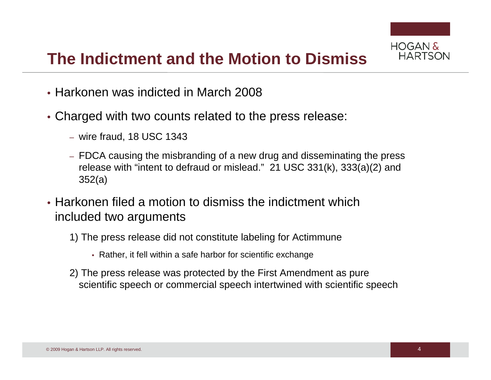

### **The Indictment and the Motion to Dismiss**

- Harkonen was indicted in March 2008
- Charged with two counts related to the press release:
	- wire fraud, 18 USC 1343
	- FDCA causing the misbranding of a new drug and disseminating the press release with "intent to defraud or mislead." 21 USC 331(k), 333(a)(2) and 352(a)
- Harkonen filed a motion to dismiss the indictment which included two arguments
	- 1) The press release did not constitute labeling for Actimmune
		- Rather, it fell within a safe harbor for scientific exchange
	- 2) The press release was protected by the First Amendment as pure scientific speech or commercial speech intertwined with scientific speech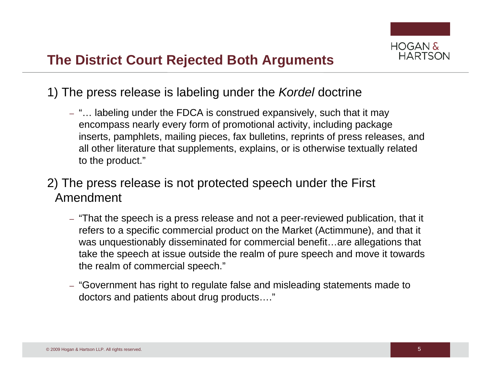

- 1) The press release is labeling under the *Kordel* doctrine
	- "… labeling under the FDCA is construed expansively, such that it may encompass nearly every form of promotional activity, including package inserts, pamphlets, mailing pieces, fax bulletins, reprints of press releases, and all other literature that supplements, explains, or is otherwise textually related to the product."

#### 2) The press release is not protected speech under the First Amendment

- "That the speech is a press release and not a peer-reviewed publication, that it refers to a specific commercial product on the Market (Actimmune), and that it was unquestionably disseminated for commercial benefit…are allegations that take the speech at issue outside the realm of pure speech and move it towards the realm of commercial speech."
- "Government has right to regulate false and misleading statements made to doctors and patients about drug products…."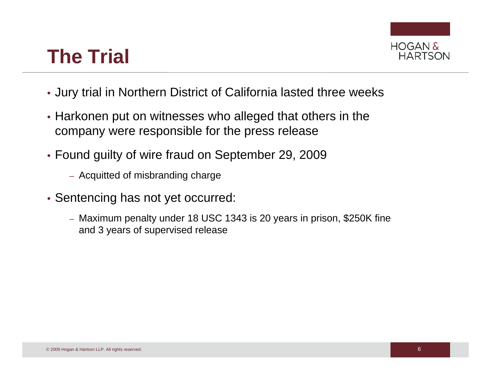# **The Trial**



- Jury trial in Northern District of California lasted three weeks
- Harkonen put on witnesses who alleged that others in the company were responsible for the press release
- Found guilty of wire fraud on September 29, 2009
	- Acquitted of misbranding charge
- Sentencing has not yet occurred:
	- Maximum penalty under 18 USC 1343 is 20 years in prison, \$250K fine and 3 years of supervised release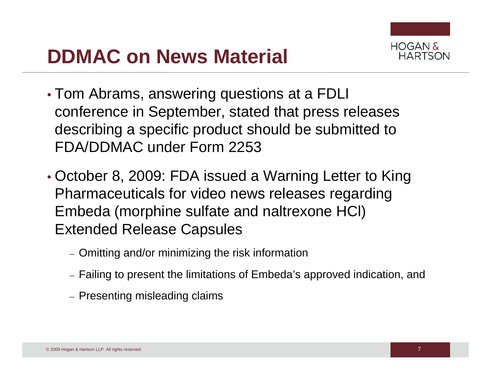# **DDMAC on News Material**



- Tom Abrams, answering questions at a FDLI conference in September, stated that press releases describing a specific product should be submitted to FDA/DDMAC under Form 2253
- October 8, 2009: FDA issued a Warning Letter to King Pharmaceuticals for video news releases regarding Embeda (morphine sulfate and naltrexone HCl) Extended Release Capsules
	- Omitting and/or minimizing the risk information
	- Failing to present the limitations of Embeda's approved indication, and
	- Presenting misleading claims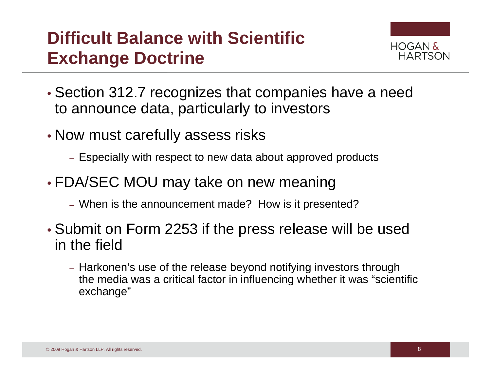## **Difficult Balance with Scientific Exchange Doctrine**



- Section 312.7 recognizes that companies have a need to announce data, particularly to investors
- Now must carefully assess risks
	- Especially with respect to new data about approved products
- FDA/SEC MOU may take on new meaning
	- When is the announcement made? How is it presented?
- Submit on Form 2253 if the press release will be used in the field
	- Harkonen's use of the release beyond notifying investors through the media was a critical factor in influencing whether it was "scientific exchange"